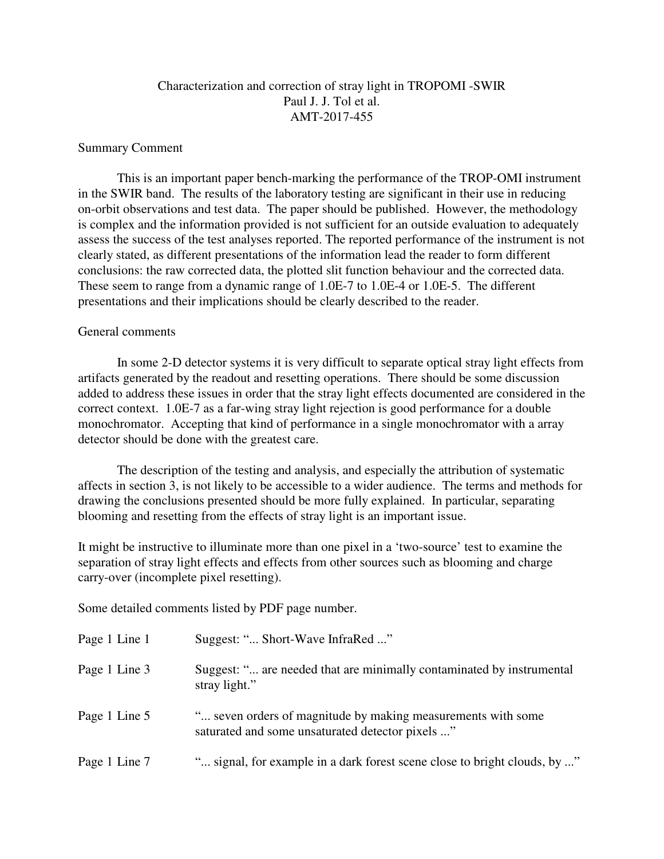## Characterization and correction of stray light in TROPOMI -SWIR Paul J. J. Tol et al. AMT-2017-455

## Summary Comment

This is an important paper bench-marking the performance of the TROP-OMI instrument in the SWIR band. The results of the laboratory testing are significant in their use in reducing on-orbit observations and test data. The paper should be published. However, the methodology is complex and the information provided is not sufficient for an outside evaluation to adequately assess the success of the test analyses reported. The reported performance of the instrument is not clearly stated, as different presentations of the information lead the reader to form different conclusions: the raw corrected data, the plotted slit function behaviour and the corrected data. These seem to range from a dynamic range of 1.0E-7 to 1.0E-4 or 1.0E-5. The different presentations and their implications should be clearly described to the reader.

## General comments

In some 2-D detector systems it is very difficult to separate optical stray light effects from artifacts generated by the readout and resetting operations. There should be some discussion added to address these issues in order that the stray light effects documented are considered in the correct context. 1.0E-7 as a far-wing stray light rejection is good performance for a double monochromator. Accepting that kind of performance in a single monochromator with a array detector should be done with the greatest care.

The description of the testing and analysis, and especially the attribution of systematic affects in section 3, is not likely to be accessible to a wider audience. The terms and methods for drawing the conclusions presented should be more fully explained. In particular, separating blooming and resetting from the effects of stray light is an important issue.

It might be instructive to illuminate more than one pixel in a 'two-source' test to examine the separation of stray light effects and effects from other sources such as blooming and charge carry-over (incomplete pixel resetting).

Some detailed comments listed by PDF page number.

| Page 1 Line 1 | Suggest: " Short-Wave InfraRed "                                                                                 |
|---------------|------------------------------------------------------------------------------------------------------------------|
| Page 1 Line 3 | Suggest: " are needed that are minimally contaminated by instrumental<br>stray light."                           |
| Page 1 Line 5 | " seven orders of magnitude by making measurements with some<br>saturated and some unsaturated detector pixels " |
| Page 1 Line 7 | " signal, for example in a dark forest scene close to bright clouds, by "                                        |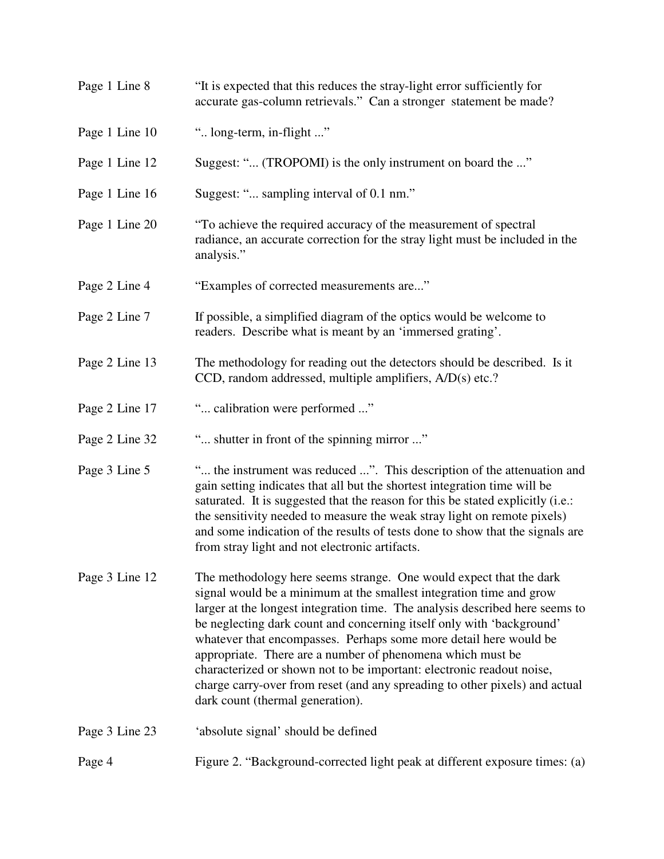| Page 1 Line 8  | "It is expected that this reduces the stray-light error sufficiently for<br>accurate gas-column retrievals." Can a stronger statement be made?                                                                                                                                                                                                                                                                                                                                                                                                                                                                                    |
|----------------|-----------------------------------------------------------------------------------------------------------------------------------------------------------------------------------------------------------------------------------------------------------------------------------------------------------------------------------------------------------------------------------------------------------------------------------------------------------------------------------------------------------------------------------------------------------------------------------------------------------------------------------|
| Page 1 Line 10 | " long-term, in-flight "                                                                                                                                                                                                                                                                                                                                                                                                                                                                                                                                                                                                          |
| Page 1 Line 12 | Suggest: " (TROPOMI) is the only instrument on board the "                                                                                                                                                                                                                                                                                                                                                                                                                                                                                                                                                                        |
| Page 1 Line 16 | Suggest: " sampling interval of 0.1 nm."                                                                                                                                                                                                                                                                                                                                                                                                                                                                                                                                                                                          |
| Page 1 Line 20 | "To achieve the required accuracy of the measurement of spectral<br>radiance, an accurate correction for the stray light must be included in the<br>analysis."                                                                                                                                                                                                                                                                                                                                                                                                                                                                    |
| Page 2 Line 4  | "Examples of corrected measurements are"                                                                                                                                                                                                                                                                                                                                                                                                                                                                                                                                                                                          |
| Page 2 Line 7  | If possible, a simplified diagram of the optics would be welcome to<br>readers. Describe what is meant by an 'immersed grating'.                                                                                                                                                                                                                                                                                                                                                                                                                                                                                                  |
| Page 2 Line 13 | The methodology for reading out the detectors should be described. Is it<br>CCD, random addressed, multiple amplifiers, A/D(s) etc.?                                                                                                                                                                                                                                                                                                                                                                                                                                                                                              |
| Page 2 Line 17 | " calibration were performed "                                                                                                                                                                                                                                                                                                                                                                                                                                                                                                                                                                                                    |
| Page 2 Line 32 | " shutter in front of the spinning mirror "                                                                                                                                                                                                                                                                                                                                                                                                                                                                                                                                                                                       |
| Page 3 Line 5  | " the instrument was reduced ". This description of the attenuation and<br>gain setting indicates that all but the shortest integration time will be<br>saturated. It is suggested that the reason for this be stated explicitly (i.e.:<br>the sensitivity needed to measure the weak stray light on remote pixels)<br>and some indication of the results of tests done to show that the signals are<br>from stray light and not electronic artifacts.                                                                                                                                                                            |
| Page 3 Line 12 | The methodology here seems strange. One would expect that the dark<br>signal would be a minimum at the smallest integration time and grow<br>larger at the longest integration time. The analysis described here seems to<br>be neglecting dark count and concerning itself only with 'background'<br>whatever that encompasses. Perhaps some more detail here would be<br>appropriate. There are a number of phenomena which must be<br>characterized or shown not to be important: electronic readout noise,<br>charge carry-over from reset (and any spreading to other pixels) and actual<br>dark count (thermal generation). |
| Page 3 Line 23 | 'absolute signal' should be defined                                                                                                                                                                                                                                                                                                                                                                                                                                                                                                                                                                                               |
| Page 4         | Figure 2. "Background-corrected light peak at different exposure times: (a)                                                                                                                                                                                                                                                                                                                                                                                                                                                                                                                                                       |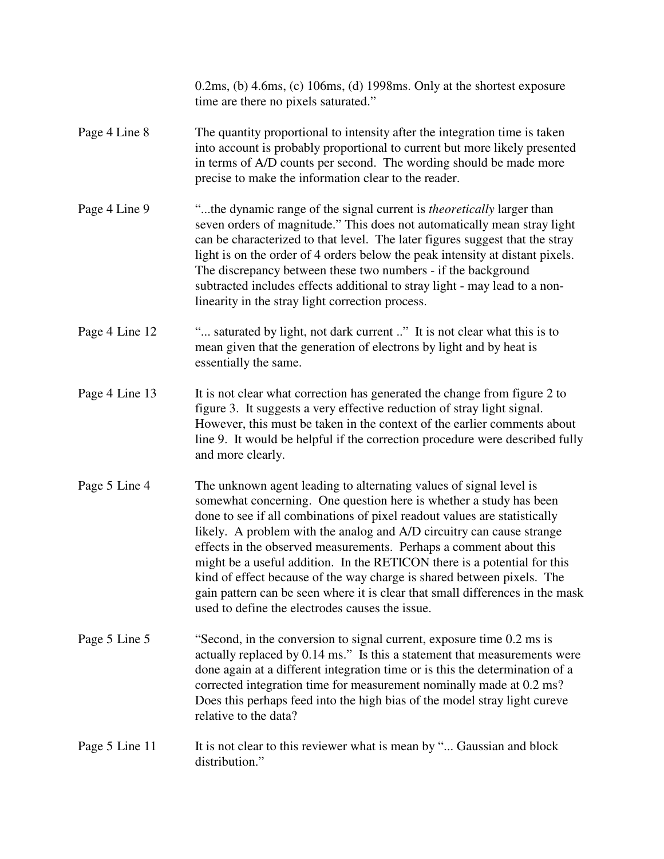|                | $0.2\text{ms}$ , (b) $4.6\text{ms}$ , (c) $106\text{ms}$ , (d) $1998\text{ms}$ . Only at the shortest exposure<br>time are there no pixels saturated."                                                                                                                                                                                                                                                                                                                                                                                                                                                                                                         |
|----------------|----------------------------------------------------------------------------------------------------------------------------------------------------------------------------------------------------------------------------------------------------------------------------------------------------------------------------------------------------------------------------------------------------------------------------------------------------------------------------------------------------------------------------------------------------------------------------------------------------------------------------------------------------------------|
| Page 4 Line 8  | The quantity proportional to intensity after the integration time is taken<br>into account is probably proportional to current but more likely presented<br>in terms of A/D counts per second. The wording should be made more<br>precise to make the information clear to the reader.                                                                                                                                                                                                                                                                                                                                                                         |
| Page 4 Line 9  | "the dynamic range of the signal current is <i>theoretically</i> larger than<br>seven orders of magnitude." This does not automatically mean stray light<br>can be characterized to that level. The later figures suggest that the stray<br>light is on the order of 4 orders below the peak intensity at distant pixels.<br>The discrepancy between these two numbers - if the background<br>subtracted includes effects additional to stray light - may lead to a non-<br>linearity in the stray light correction process.                                                                                                                                   |
| Page 4 Line 12 | " saturated by light, not dark current " It is not clear what this is to<br>mean given that the generation of electrons by light and by heat is<br>essentially the same.                                                                                                                                                                                                                                                                                                                                                                                                                                                                                       |
| Page 4 Line 13 | It is not clear what correction has generated the change from figure 2 to<br>figure 3. It suggests a very effective reduction of stray light signal.<br>However, this must be taken in the context of the earlier comments about<br>line 9. It would be helpful if the correction procedure were described fully<br>and more clearly.                                                                                                                                                                                                                                                                                                                          |
| Page 5 Line 4  | The unknown agent leading to alternating values of signal level is<br>somewhat concerning. One question here is whether a study has been<br>done to see if all combinations of pixel readout values are statistically<br>likely. A problem with the analog and A/D circuitry can cause strange<br>effects in the observed measurements. Perhaps a comment about this<br>might be a useful addition. In the RETICON there is a potential for this<br>kind of effect because of the way charge is shared between pixels. The<br>gain pattern can be seen where it is clear that small differences in the mask<br>used to define the electrodes causes the issue. |
| Page 5 Line 5  | "Second, in the conversion to signal current, exposure time 0.2 ms is<br>actually replaced by 0.14 ms." Is this a statement that measurements were<br>done again at a different integration time or is this the determination of a<br>corrected integration time for measurement nominally made at 0.2 ms?<br>Does this perhaps feed into the high bias of the model stray light cureve<br>relative to the data?                                                                                                                                                                                                                                               |
| Page 5 Line 11 | It is not clear to this reviewer what is mean by " Gaussian and block<br>distribution."                                                                                                                                                                                                                                                                                                                                                                                                                                                                                                                                                                        |